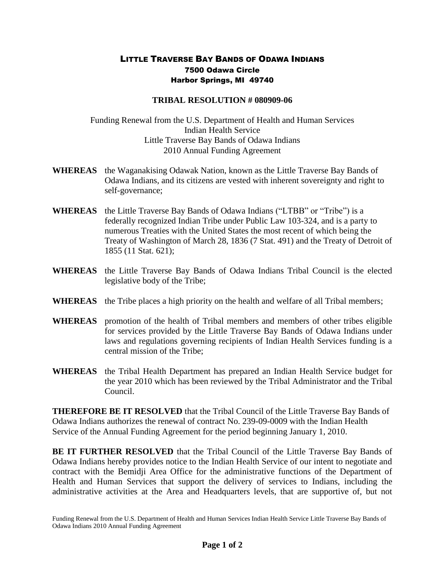## LITTLE TRAVERSE BAY BANDS OF ODAWA INDIANS 7500 Odawa Circle Harbor Springs, MI 49740

## **TRIBAL RESOLUTION # 080909-06**

Funding Renewal from the U.S. Department of Health and Human Services Indian Health Service Little Traverse Bay Bands of Odawa Indians 2010 Annual Funding Agreement

- **WHEREAS** the Waganakising Odawak Nation, known as the Little Traverse Bay Bands of Odawa Indians, and its citizens are vested with inherent sovereignty and right to self-governance;
- **WHEREAS** the Little Traverse Bay Bands of Odawa Indians ("LTBB" or "Tribe") is a federally recognized Indian Tribe under Public Law 103-324, and is a party to numerous Treaties with the United States the most recent of which being the Treaty of Washington of March 28, 1836 (7 Stat. 491) and the Treaty of Detroit of 1855 (11 Stat. 621);
- **WHEREAS** the Little Traverse Bay Bands of Odawa Indians Tribal Council is the elected legislative body of the Tribe;
- **WHEREAS** the Tribe places a high priority on the health and welfare of all Tribal members;
- **WHEREAS** promotion of the health of Tribal members and members of other tribes eligible for services provided by the Little Traverse Bay Bands of Odawa Indians under laws and regulations governing recipients of Indian Health Services funding is a central mission of the Tribe;
- **WHEREAS** the Tribal Health Department has prepared an Indian Health Service budget for the year 2010 which has been reviewed by the Tribal Administrator and the Tribal Council.

**THEREFORE BE IT RESOLVED** that the Tribal Council of the Little Traverse Bay Bands of Odawa Indians authorizes the renewal of contract No. 239-09-0009 with the Indian Health Service of the Annual Funding Agreement for the period beginning January 1, 2010.

**BE IT FURTHER RESOLVED** that the Tribal Council of the Little Traverse Bay Bands of Odawa Indians hereby provides notice to the Indian Health Service of our intent to negotiate and contract with the Bemidji Area Office for the administrative functions of the Department of Health and Human Services that support the delivery of services to Indians, including the administrative activities at the Area and Headquarters levels, that are supportive of, but not

Funding Renewal from the U.S. Department of Health and Human Services Indian Health Service Little Traverse Bay Bands of Odawa Indians 2010 Annual Funding Agreement